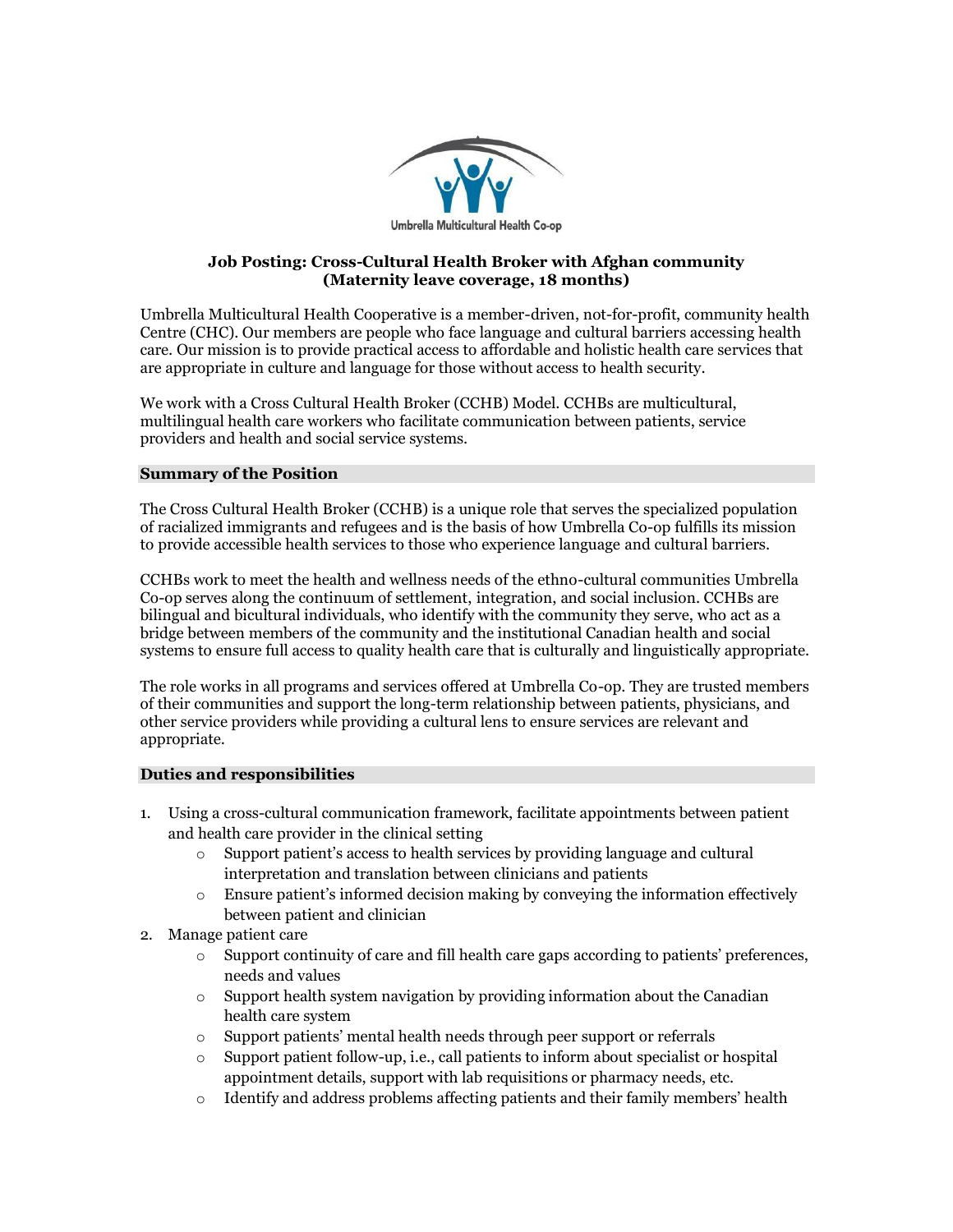

## **Job Posting: Cross-Cultural Health Broker with Afghan community (Maternity leave coverage, 18 months)**

Umbrella Multicultural Health Cooperative is a member-driven, not-for-profit, community health Centre (CHC). Our members are people who face language and cultural barriers accessing health care. Our mission is to provide practical access to affordable and holistic health care services that are appropriate in culture and language for those without access to health security.

We work with a Cross Cultural Health Broker (CCHB) Model. CCHBs are multicultural, multilingual health care workers who facilitate communication between patients, service providers and health and social service systems.

## **Summary of the Position**

The Cross Cultural Health Broker (CCHB) is a unique role that serves the specialized population of racialized immigrants and refugees and is the basis of how Umbrella Co-op fulfills its mission to provide accessible health services to those who experience language and cultural barriers.

CCHBs work to meet the health and wellness needs of the ethno-cultural communities Umbrella Co-op serves along the continuum of settlement, integration, and social inclusion. CCHBs are bilingual and bicultural individuals, who identify with the community they serve, who act as a bridge between members of the community and the institutional Canadian health and social systems to ensure full access to quality health care that is culturally and linguistically appropriate.

The role works in all programs and services offered at Umbrella Co-op. They are trusted members of their communities and support the long-term relationship between patients, physicians, and other service providers while providing a cultural lens to ensure services are relevant and appropriate.

## **Duties and responsibilities**

- 1. Using a cross-cultural communication framework, facilitate appointments between patient and health care provider in the clinical setting
	- $\circ$  Support patient's access to health services by providing language and cultural interpretation and translation between clinicians and patients
	- $\circ$  Ensure patient's informed decision making by conveying the information effectively between patient and clinician
- 2. Manage patient care
	- o Support continuity of care and fill health care gaps according to patients' preferences, needs and values
	- o Support health system navigation by providing information about the Canadian health care system
	- o Support patients' mental health needs through peer support or referrals
	- $\circ$  Support patient follow-up, i.e., call patients to inform about specialist or hospital appointment details, support with lab requisitions or pharmacy needs, etc.
	- o Identify and address problems affecting patients and their family members' health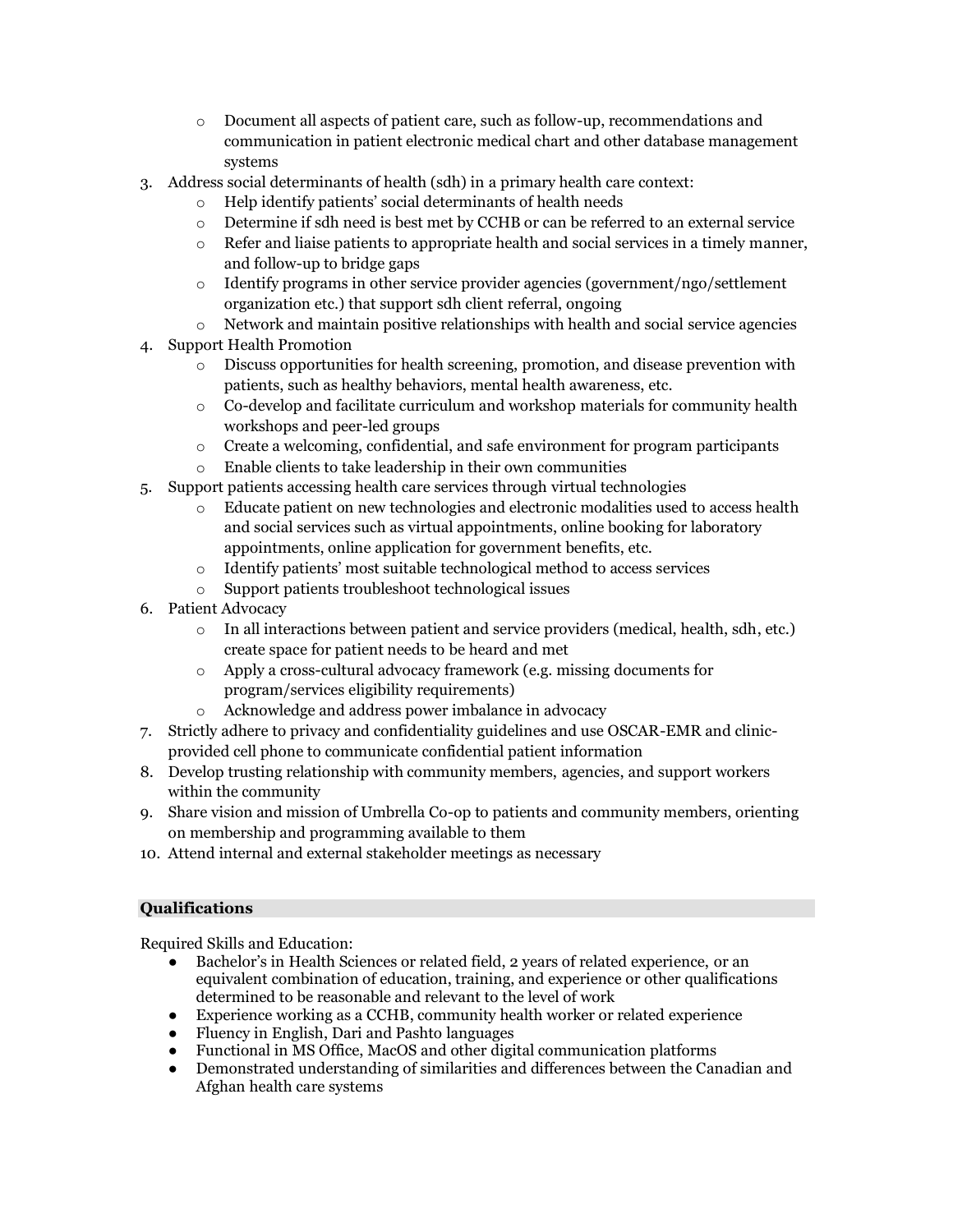- o Document all aspects of patient care, such as follow-up, recommendations and communication in patient electronic medical chart and other database management systems
- 3. Address social determinants of health (sdh) in a primary health care context:
	- o Help identify patients' social determinants of health needs
	- o Determine if sdh need is best met by CCHB or can be referred to an external service
	- $\circ$  Refer and liaise patients to appropriate health and social services in a timely manner, and follow-up to bridge gaps
	- o Identify programs in other service provider agencies (government/ngo/settlement organization etc.) that support sdh client referral, ongoing
	- $\circ$  Network and maintain positive relationships with health and social service agencies
- 4. Support Health Promotion
	- o Discuss opportunities for health screening, promotion, and disease prevention with patients, such as healthy behaviors, mental health awareness, etc.
	- o Co-develop and facilitate curriculum and workshop materials for community health workshops and peer-led groups
	- $\circ$  Create a welcoming, confidential, and safe environment for program participants
	- o Enable clients to take leadership in their own communities
- 5. Support patients accessing health care services through virtual technologies
	- o Educate patient on new technologies and electronic modalities used to access health and social services such as virtual appointments, online booking for laboratory appointments, online application for government benefits, etc.
	- o Identify patients' most suitable technological method to access services
	- o Support patients troubleshoot technological issues
- 6. Patient Advocacy
	- o In all interactions between patient and service providers (medical, health, sdh, etc.) create space for patient needs to be heard and met
	- o Apply a cross-cultural advocacy framework (e.g. missing documents for program/services eligibility requirements)
	- o Acknowledge and address power imbalance in advocacy
- 7. Strictly adhere to privacy and confidentiality guidelines and use OSCAR-EMR and clinicprovided cell phone to communicate confidential patient information
- 8. Develop trusting relationship with community members, agencies, and support workers within the community
- 9. Share vision and mission of Umbrella Co-op to patients and community members, orienting on membership and programming available to them
- 10. Attend internal and external stakeholder meetings as necessary

# **Qualifications**

Required Skills and Education:

- Bachelor's in Health Sciences or related field, 2 years of related experience, or an equivalent combination of education, training, and experience or other qualifications determined to be reasonable and relevant to the level of work
- Experience working as a CCHB, community health worker or related experience
- Fluency in English, Dari and Pashto languages
- Functional in MS Office, MacOS and other digital communication platforms
- Demonstrated understanding of similarities and differences between the Canadian and Afghan health care systems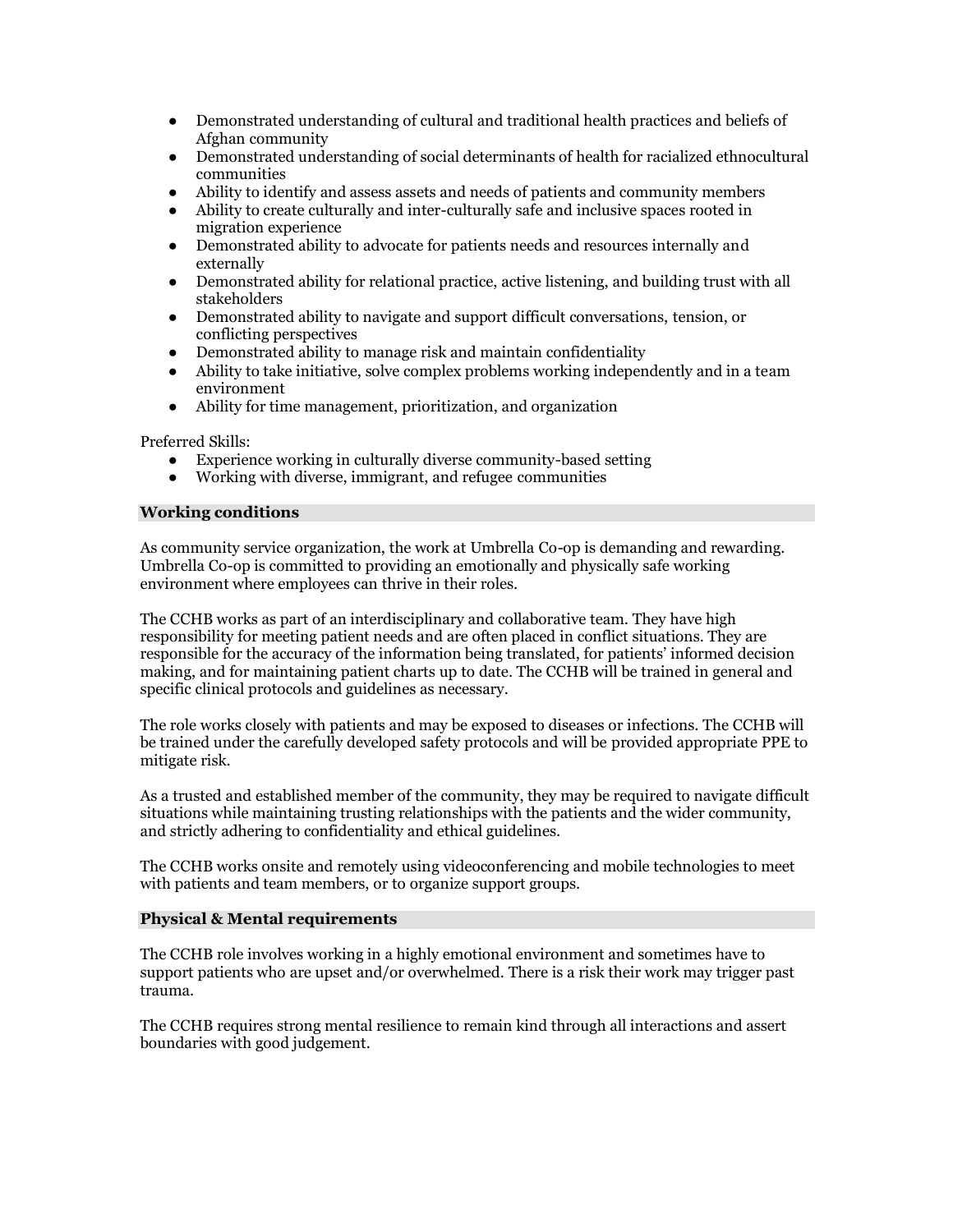- Demonstrated understanding of cultural and traditional health practices and beliefs of Afghan community
- Demonstrated understanding of social determinants of health for racialized ethnocultural communities
- Ability to identify and assess assets and needs of patients and community members
- Ability to create culturally and inter-culturally safe and inclusive spaces rooted in migration experience
- Demonstrated ability to advocate for patients needs and resources internally and externally
- Demonstrated ability for relational practice, active listening, and building trust with all stakeholders
- Demonstrated ability to navigate and support difficult conversations, tension, or conflicting perspectives
- Demonstrated ability to manage risk and maintain confidentiality
- Ability to take initiative, solve complex problems working independently and in a team environment
- Ability for time management, prioritization, and organization

Preferred Skills:

- Experience working in culturally diverse community-based setting
- Working with diverse, immigrant, and refugee communities

## **Working conditions**

As community service organization, the work at Umbrella Co-op is demanding and rewarding. Umbrella Co-op is committed to providing an emotionally and physically safe working environment where employees can thrive in their roles.

The CCHB works as part of an interdisciplinary and collaborative team. They have high responsibility for meeting patient needs and are often placed in conflict situations. They are responsible for the accuracy of the information being translated, for patients' informed decision making, and for maintaining patient charts up to date. The CCHB will be trained in general and specific clinical protocols and guidelines as necessary.

The role works closely with patients and may be exposed to diseases or infections. The CCHB will be trained under the carefully developed safety protocols and will be provided appropriate PPE to mitigate risk.

As a trusted and established member of the community, they may be required to navigate difficult situations while maintaining trusting relationships with the patients and the wider community, and strictly adhering to confidentiality and ethical guidelines.

The CCHB works onsite and remotely using videoconferencing and mobile technologies to meet with patients and team members, or to organize support groups.

## **Physical & Mental requirements**

The CCHB role involves working in a highly emotional environment and sometimes have to support patients who are upset and/or overwhelmed. There is a risk their work may trigger past trauma.

The CCHB requires strong mental resilience to remain kind through all interactions and assert boundaries with good judgement.